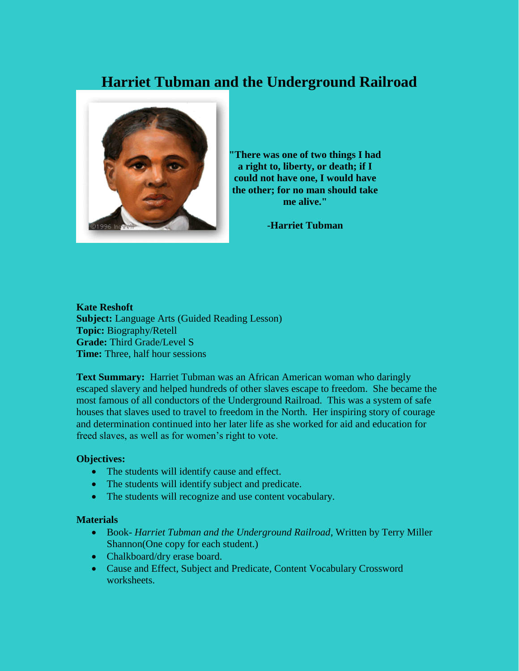# **Harriet Tubman and the Underground Railroad**



**"There was one of two things I had a right to, liberty, or death; if I could not have one, I would have the other; for no man should take me alive."**

**-Harriet Tubman**

**Kate Reshoft Subject:** Language Arts (Guided Reading Lesson) **Topic:** Biography/Retell **Grade:** Third Grade/Level S **Time:** Three, half hour sessions

**Text Summary:** Harriet Tubman was an African American woman who daringly escaped slavery and helped hundreds of other slaves escape to freedom. She became the most famous of all conductors of the Underground Railroad. This was a system of safe houses that slaves used to travel to freedom in the North. Her inspiring story of courage and determination continued into her later life as she worked for aid and education for freed slaves, as well as for women's right to vote.

## **Objectives:**

- The students will identify cause and effect.
- The students will identify subject and predicate.
- The students will recognize and use content vocabulary.

#### **Materials**

- Book- *Harriet Tubman and the Underground Railroad*, Written by Terry Miller Shannon(One copy for each student.)
- Chalkboard/dry erase board.
- Cause and Effect, Subject and Predicate, Content Vocabulary Crossword worksheets.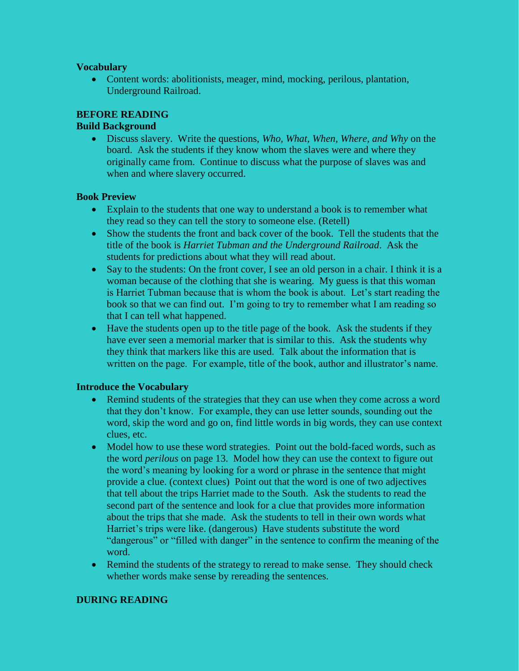## **Vocabulary**

 Content words: abolitionists, meager, mind, mocking, perilous, plantation, Underground Railroad.

# **BEFORE READING**

## **Build Background**

 Discuss slavery. Write the questions, *Who, What, When, Where, and Why* on the board. Ask the students if they know whom the slaves were and where they originally came from. Continue to discuss what the purpose of slaves was and when and where slavery occurred.

## **Book Preview**

- Explain to the students that one way to understand a book is to remember what they read so they can tell the story to someone else. (Retell)
- Show the students the front and back cover of the book. Tell the students that the title of the book is *Harriet Tubman and the Underground Railroad*. Ask the students for predictions about what they will read about.
- Say to the students: On the front cover, I see an old person in a chair. I think it is a woman because of the clothing that she is wearing. My guess is that this woman is Harriet Tubman because that is whom the book is about. Let's start reading the book so that we can find out. I'm going to try to remember what I am reading so that I can tell what happened.
- Have the students open up to the title page of the book. Ask the students if they have ever seen a memorial marker that is similar to this. Ask the students why they think that markers like this are used. Talk about the information that is written on the page. For example, title of the book, author and illustrator's name.

## **Introduce the Vocabulary**

- Remind students of the strategies that they can use when they come across a word that they don't know. For example, they can use letter sounds, sounding out the word, skip the word and go on, find little words in big words, they can use context clues, etc.
- Model how to use these word strategies. Point out the bold-faced words, such as the word *perilous* on page 13. Model how they can use the context to figure out the word's meaning by looking for a word or phrase in the sentence that might provide a clue. (context clues) Point out that the word is one of two adjectives that tell about the trips Harriet made to the South. Ask the students to read the second part of the sentence and look for a clue that provides more information about the trips that she made. Ask the students to tell in their own words what Harriet's trips were like. (dangerous) Have students substitute the word "dangerous" or "filled with danger" in the sentence to confirm the meaning of the word.
- Remind the students of the strategy to reread to make sense. They should check whether words make sense by rereading the sentences.

## **DURING READING**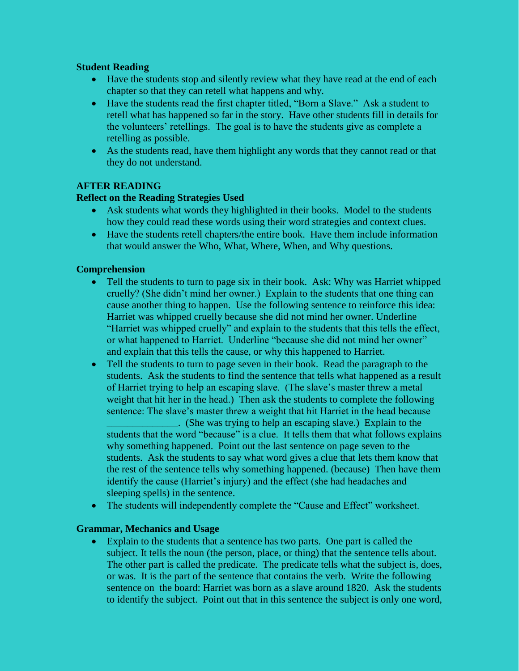## **Student Reading**

- Have the students stop and silently review what they have read at the end of each chapter so that they can retell what happens and why.
- Have the students read the first chapter titled, "Born a Slave." Ask a student to retell what has happened so far in the story. Have other students fill in details for the volunteers' retellings. The goal is to have the students give as complete a retelling as possible.
- As the students read, have them highlight any words that they cannot read or that they do not understand.

## **AFTER READING**

## **Reflect on the Reading Strategies Used**

- Ask students what words they highlighted in their books. Model to the students how they could read these words using their word strategies and context clues.
- Have the students retell chapters/the entire book. Have them include information that would answer the Who, What, Where, When, and Why questions.

## **Comprehension**

- Tell the students to turn to page six in their book. Ask: Why was Harriet whipped cruelly? (She didn't mind her owner.) Explain to the students that one thing can cause another thing to happen. Use the following sentence to reinforce this idea: Harriet was whipped cruelly because she did not mind her owner. Underline "Harriet was whipped cruelly" and explain to the students that this tells the effect, or what happened to Harriet. Underline "because she did not mind her owner" and explain that this tells the cause, or why this happened to Harriet.
- Tell the students to turn to page seven in their book. Read the paragraph to the students. Ask the students to find the sentence that tells what happened as a result of Harriet trying to help an escaping slave. (The slave's master threw a metal weight that hit her in the head.) Then ask the students to complete the following sentence: The slave's master threw a weight that hit Harriet in the head because

\_\_\_\_\_\_\_\_\_\_\_\_\_\_. (She was trying to help an escaping slave.) Explain to the students that the word "because" is a clue. It tells them that what follows explains why something happened. Point out the last sentence on page seven to the students. Ask the students to say what word gives a clue that lets them know that the rest of the sentence tells why something happened. (because) Then have them identify the cause (Harriet's injury) and the effect (she had headaches and sleeping spells) in the sentence.

• The students will independently complete the "Cause and Effect" worksheet.

## **Grammar, Mechanics and Usage**

 Explain to the students that a sentence has two parts. One part is called the subject. It tells the noun (the person, place, or thing) that the sentence tells about. The other part is called the predicate. The predicate tells what the subject is, does, or was. It is the part of the sentence that contains the verb. Write the following sentence on the board: Harriet was born as a slave around 1820. Ask the students to identify the subject. Point out that in this sentence the subject is only one word,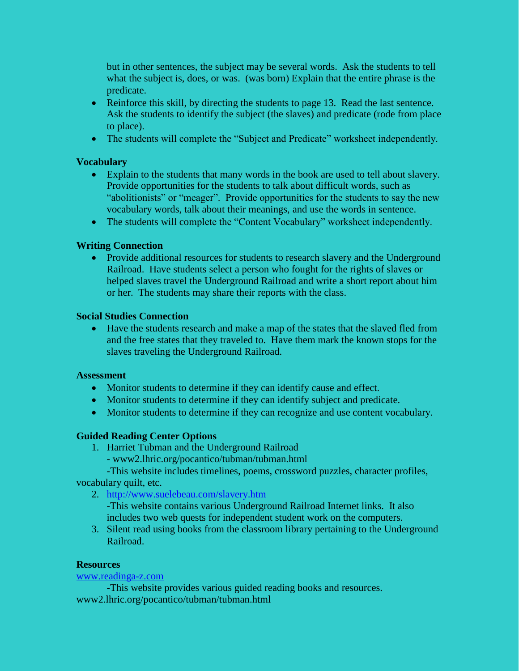but in other sentences, the subject may be several words. Ask the students to tell what the subject is, does, or was. (was born) Explain that the entire phrase is the predicate.

- Reinforce this skill, by directing the students to page 13. Read the last sentence. Ask the students to identify the subject (the slaves) and predicate (rode from place to place).
- The students will complete the "Subject and Predicate" worksheet independently.

## **Vocabulary**

- Explain to the students that many words in the book are used to tell about slavery. Provide opportunities for the students to talk about difficult words, such as "abolitionists" or "meager". Provide opportunities for the students to say the new vocabulary words, talk about their meanings, and use the words in sentence.
- The students will complete the "Content Vocabulary" worksheet independently.

## **Writing Connection**

• Provide additional resources for students to research slavery and the Underground Railroad. Have students select a person who fought for the rights of slaves or helped slaves travel the Underground Railroad and write a short report about him or her. The students may share their reports with the class.

## **Social Studies Connection**

 Have the students research and make a map of the states that the slaved fled from and the free states that they traveled to. Have them mark the known stops for the slaves traveling the Underground Railroad.

#### **Assessment**

- Monitor students to determine if they can identify cause and effect.
- Monitor students to determine if they can identify subject and predicate.
- Monitor students to determine if they can recognize and use content vocabulary.

## **Guided Reading Center Options**

- 1. Harriet Tubman and the Underground Railroad
	- www2.lhric.org/pocantico/tubman/tubman.html

-This website includes timelines, poems, crossword puzzles, character profiles, vocabulary quilt, etc.

2. <http://www.suelebeau.com/slavery.htm>

-This website contains various Underground Railroad Internet links. It also includes two web quests for independent student work on the computers.

3. Silent read using books from the classroom library pertaining to the Underground Railroad.

#### **Resources**

# [www.readinga-z.com](http://www.readinga-z.com/)

-This website provides various guided reading books and resources. www2.lhric.org/pocantico/tubman/tubman.html